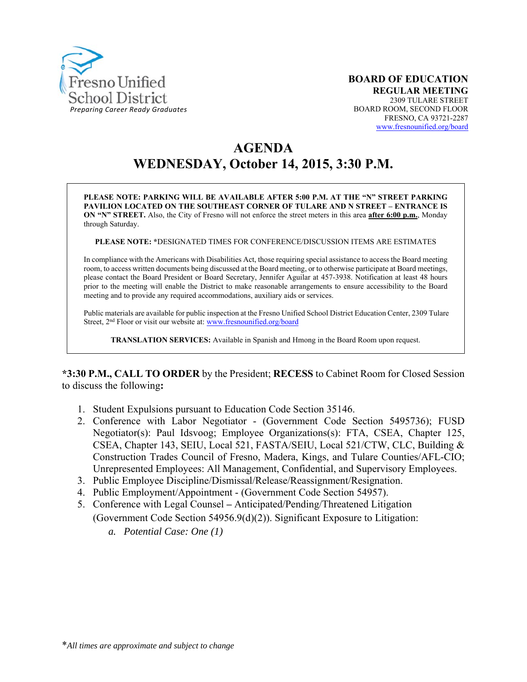

# **AGENDA WEDNESDAY, October 14, 2015, 3:30 P.M.**

**PLEASE NOTE: PARKING WILL BE AVAILABLE AFTER 5:00 P.M. AT THE "N" STREET PARKING PAVILION LOCATED ON THE SOUTHEAST CORNER OF TULARE AND N STREET – ENTRANCE IS ON "N" STREET.** Also, the City of Fresno will not enforce the street meters in this area **after 6:00 p.m.**, Monday through Saturday.

**PLEASE NOTE: \***DESIGNATED TIMES FOR CONFERENCE/DISCUSSION ITEMS ARE ESTIMATES

In compliance with the Americans with Disabilities Act, those requiring special assistance to access the Board meeting room, to access written documents being discussed at the Board meeting, or to otherwise participate at Board meetings, please contact the Board President or Board Secretary, Jennifer Aguilar at 457-3938. Notification at least 48 hours prior to the meeting will enable the District to make reasonable arrangements to ensure accessibility to the Board meeting and to provide any required accommodations, auxiliary aids or services.

Public materials are available for public inspection at the Fresno Unified School District Education Center, 2309 Tulare Street, 2<sup>nd</sup> Floor or visit our website at: www.fresnounified.org/board

**TRANSLATION SERVICES:** Available in Spanish and Hmong in the Board Room upon request.

**\*3:30 P.M., CALL TO ORDER** by the President; **RECESS** to Cabinet Room for Closed Session to discuss the following**:** 

- 1. Student Expulsions pursuant to Education Code Section 35146.
- 2. Conference with Labor Negotiator (Government Code Section 5495736); FUSD Negotiator(s): Paul Idsvoog; Employee Organizations(s): FTA, CSEA, Chapter 125, CSEA, Chapter 143, SEIU, Local 521, FASTA/SEIU, Local 521/CTW, CLC, Building & Construction Trades Council of Fresno, Madera, Kings, and Tulare Counties/AFL-CIO; Unrepresented Employees: All Management, Confidential, and Supervisory Employees.
- 3. Public Employee Discipline/Dismissal/Release/Reassignment/Resignation.
- 4. Public Employment/Appointment (Government Code Section 54957).
- 5. Conference with Legal CounselAnticipated/Pending/Threatened Litigation (Government Code Section 54956.9(d)(2)). Significant Exposure to Litigation:
	- *a. Potential Case: One (1)*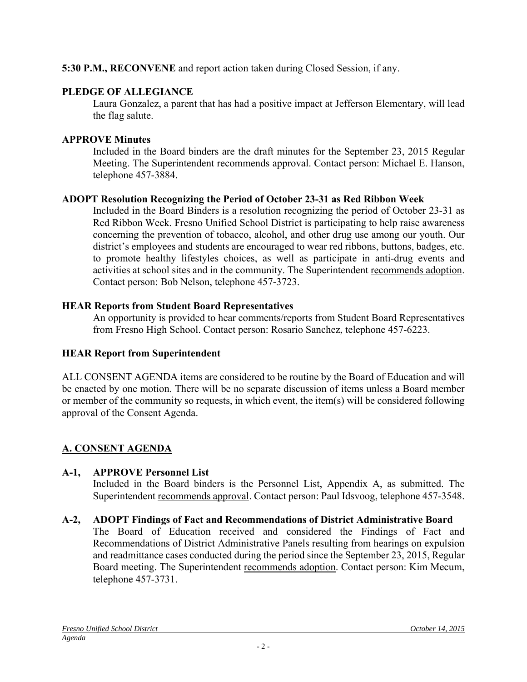#### **5:30 P.M., RECONVENE** and report action taken during Closed Session, if any.

#### **PLEDGE OF ALLEGIANCE**

Laura Gonzalez, a parent that has had a positive impact at Jefferson Elementary, will lead the flag salute.

#### **APPROVE Minutes**

Included in the Board binders are the draft minutes for the September 23, 2015 Regular Meeting. The Superintendent recommends approval. Contact person: Michael E. Hanson, telephone 457-3884.

## **ADOPT Resolution Recognizing the Period of October 23-31 as Red Ribbon Week**

Included in the Board Binders is a resolution recognizing the period of October 23-31 as Red Ribbon Week. Fresno Unified School District is participating to help raise awareness concerning the prevention of tobacco, alcohol, and other drug use among our youth. Our district's employees and students are encouraged to wear red ribbons, buttons, badges, etc. to promote healthy lifestyles choices, as well as participate in anti-drug events and activities at school sites and in the community. The Superintendent recommends adoption. Contact person: Bob Nelson, telephone 457-3723.

## **HEAR Reports from Student Board Representatives**

An opportunity is provided to hear comments/reports from Student Board Representatives from Fresno High School. Contact person: Rosario Sanchez, telephone 457-6223.

## **HEAR Report from Superintendent**

ALL CONSENT AGENDA items are considered to be routine by the Board of Education and will be enacted by one motion. There will be no separate discussion of items unless a Board member or member of the community so requests, in which event, the item(s) will be considered following approval of the Consent Agenda.

## **A. CONSENT AGENDA**

## **A-1, APPROVE Personnel List**

Included in the Board binders is the Personnel List, Appendix A, as submitted. The Superintendent recommends approval. Contact person: Paul Idsvoog, telephone 457-3548.

## **A-2, ADOPT Findings of Fact and Recommendations of District Administrative Board**

The Board of Education received and considered the Findings of Fact and Recommendations of District Administrative Panels resulting from hearings on expulsion and readmittance cases conducted during the period since the September 23, 2015, Regular Board meeting. The Superintendent recommends adoption. Contact person: Kim Mecum, telephone 457-3731.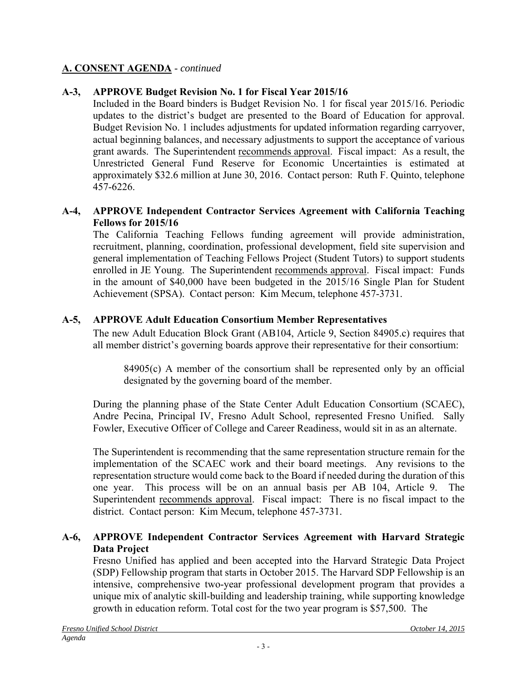## **A. CONSENT AGENDA** - *continued*

## **A-3, APPROVE Budget Revision No. 1 for Fiscal Year 2015/16**

Included in the Board binders is Budget Revision No. 1 for fiscal year 2015/16. Periodic updates to the district's budget are presented to the Board of Education for approval. Budget Revision No. 1 includes adjustments for updated information regarding carryover, actual beginning balances, and necessary adjustments to support the acceptance of various grant awards. The Superintendent recommends approval. Fiscal impact: As a result, the Unrestricted General Fund Reserve for Economic Uncertainties is estimated at approximately \$32.6 million at June 30, 2016. Contact person: Ruth F. Quinto, telephone 457-6226.

#### **A-4, APPROVE Independent Contractor Services Agreement with California Teaching Fellows for 2015/16**

The California Teaching Fellows funding agreement will provide administration, recruitment, planning, coordination, professional development, field site supervision and general implementation of Teaching Fellows Project (Student Tutors) to support students enrolled in JE Young. The Superintendent recommends approval. Fiscal impact: Funds in the amount of \$40,000 have been budgeted in the 2015/16 Single Plan for Student Achievement (SPSA). Contact person: Kim Mecum, telephone 457-3731.

#### **A-5, APPROVE Adult Education Consortium Member Representatives**

The new Adult Education Block Grant (AB104, Article 9, Section 84905.c) requires that all member district's governing boards approve their representative for their consortium:

84905(c) A member of the consortium shall be represented only by an official designated by the governing board of the member.

During the planning phase of the State Center Adult Education Consortium (SCAEC), Andre Pecina, Principal IV, Fresno Adult School, represented Fresno Unified. Sally Fowler, Executive Officer of College and Career Readiness, would sit in as an alternate.

The Superintendent is recommending that the same representation structure remain for the implementation of the SCAEC work and their board meetings. Any revisions to the representation structure would come back to the Board if needed during the duration of this one year. This process will be on an annual basis per AB 104, Article 9. The Superintendent recommends approval. Fiscal impact: There is no fiscal impact to the district. Contact person: Kim Mecum, telephone 457-3731.

#### **A-6, APPROVE Independent Contractor Services Agreement with Harvard Strategic Data Project**

Fresno Unified has applied and been accepted into the Harvard Strategic Data Project (SDP) Fellowship program that starts in October 2015. The Harvard SDP Fellowship is an intensive, comprehensive two-year professional development program that provides a unique mix of analytic skill-building and leadership training, while supporting knowledge growth in education reform. Total cost for the two year program is \$57,500. The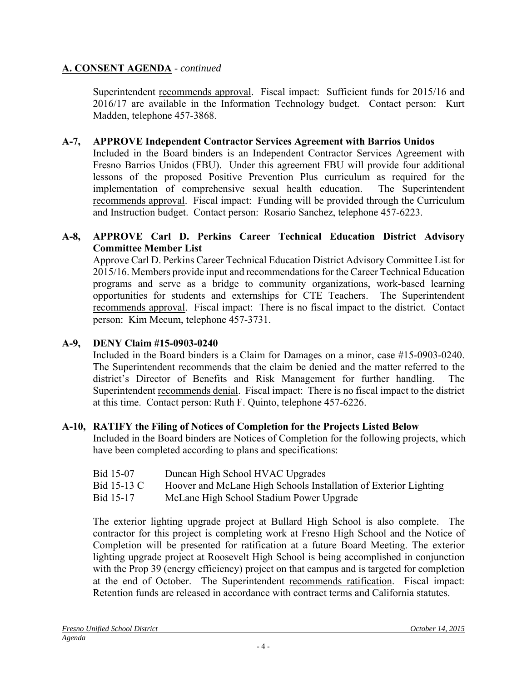#### **A. CONSENT AGENDA** - *continued*

Superintendent recommends approval. Fiscal impact: Sufficient funds for 2015/16 and 2016/17 are available in the Information Technology budget. Contact person: Kurt Madden, telephone 457-3868.

#### **A-7, APPROVE Independent Contractor Services Agreement with Barrios Unidos**

Included in the Board binders is an Independent Contractor Services Agreement with Fresno Barrios Unidos (FBU). Under this agreement FBU will provide four additional lessons of the proposed Positive Prevention Plus curriculum as required for the implementation of comprehensive sexual health education. The Superintendent recommends approval. Fiscal impact: Funding will be provided through the Curriculum and Instruction budget. Contact person: Rosario Sanchez, telephone 457-6223.

#### **A-8, APPROVE Carl D. Perkins Career Technical Education District Advisory Committee Member List**

Approve Carl D. Perkins Career Technical Education District Advisory Committee List for 2015/16. Members provide input and recommendations for the Career Technical Education programs and serve as a bridge to community organizations, work-based learning opportunities for students and externships for CTE Teachers. The Superintendent recommends approval. Fiscal impact: There is no fiscal impact to the district. Contact person: Kim Mecum, telephone 457-3731.

#### **A-9, DENY Claim #15-0903-0240**

Included in the Board binders is a Claim for Damages on a minor, case #15-0903-0240. The Superintendent recommends that the claim be denied and the matter referred to the district's Director of Benefits and Risk Management for further handling. The Superintendent recommends denial. Fiscal impact: There is no fiscal impact to the district at this time. Contact person: Ruth F. Quinto, telephone 457-6226.

#### **A-10, RATIFY the Filing of Notices of Completion for the Projects Listed Below**

Included in the Board binders are Notices of Completion for the following projects, which have been completed according to plans and specifications:

- Bid 15-13 C Hoover and McLane High Schools Installation of Exterior Lighting
- Bid 15-17 McLane High School Stadium Power Upgrade

The exterior lighting upgrade project at Bullard High School is also complete. The contractor for this project is completing work at Fresno High School and the Notice of Completion will be presented for ratification at a future Board Meeting. The exterior lighting upgrade project at Roosevelt High School is being accomplished in conjunction with the Prop 39 (energy efficiency) project on that campus and is targeted for completion at the end of October. The Superintendent recommends ratification. Fiscal impact: Retention funds are released in accordance with contract terms and California statutes.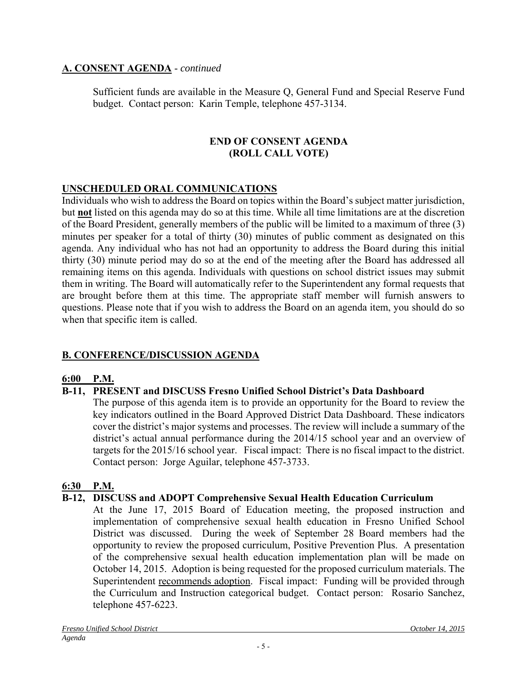## **A. CONSENT AGENDA** - *continued*

Sufficient funds are available in the Measure Q, General Fund and Special Reserve Fund budget. Contact person: Karin Temple, telephone 457-3134.

#### **END OF CONSENT AGENDA (ROLL CALL VOTE)**

## **UNSCHEDULED ORAL COMMUNICATIONS**

Individuals who wish to address the Board on topics within the Board's subject matter jurisdiction, but **not** listed on this agenda may do so at this time. While all time limitations are at the discretion of the Board President, generally members of the public will be limited to a maximum of three (3) minutes per speaker for a total of thirty (30) minutes of public comment as designated on this agenda. Any individual who has not had an opportunity to address the Board during this initial thirty (30) minute period may do so at the end of the meeting after the Board has addressed all remaining items on this agenda. Individuals with questions on school district issues may submit them in writing. The Board will automatically refer to the Superintendent any formal requests that are brought before them at this time. The appropriate staff member will furnish answers to questions. Please note that if you wish to address the Board on an agenda item, you should do so when that specific item is called.

## **B. CONFERENCE/DISCUSSION AGENDA**

#### **6:00 P.M.**

## **B-11, PRESENT and DISCUSS Fresno Unified School District's Data Dashboard**

The purpose of this agenda item is to provide an opportunity for the Board to review the key indicators outlined in the Board Approved District Data Dashboard. These indicators cover the district's major systems and processes. The review will include a summary of the district's actual annual performance during the 2014/15 school year and an overview of targets for the 2015/16 school year. Fiscal impact: There is no fiscal impact to the district. Contact person: Jorge Aguilar, telephone 457-3733.

#### **6:30 P.M.**

#### **B-12, DISCUSS and ADOPT Comprehensive Sexual Health Education Curriculum**

At the June 17, 2015 Board of Education meeting, the proposed instruction and implementation of comprehensive sexual health education in Fresno Unified School District was discussed. During the week of September 28 Board members had the opportunity to review the proposed curriculum, Positive Prevention Plus. A presentation of the comprehensive sexual health education implementation plan will be made on October 14, 2015. Adoption is being requested for the proposed curriculum materials. The Superintendent recommends adoption. Fiscal impact: Funding will be provided through the Curriculum and Instruction categorical budget. Contact person: Rosario Sanchez, telephone 457-6223.